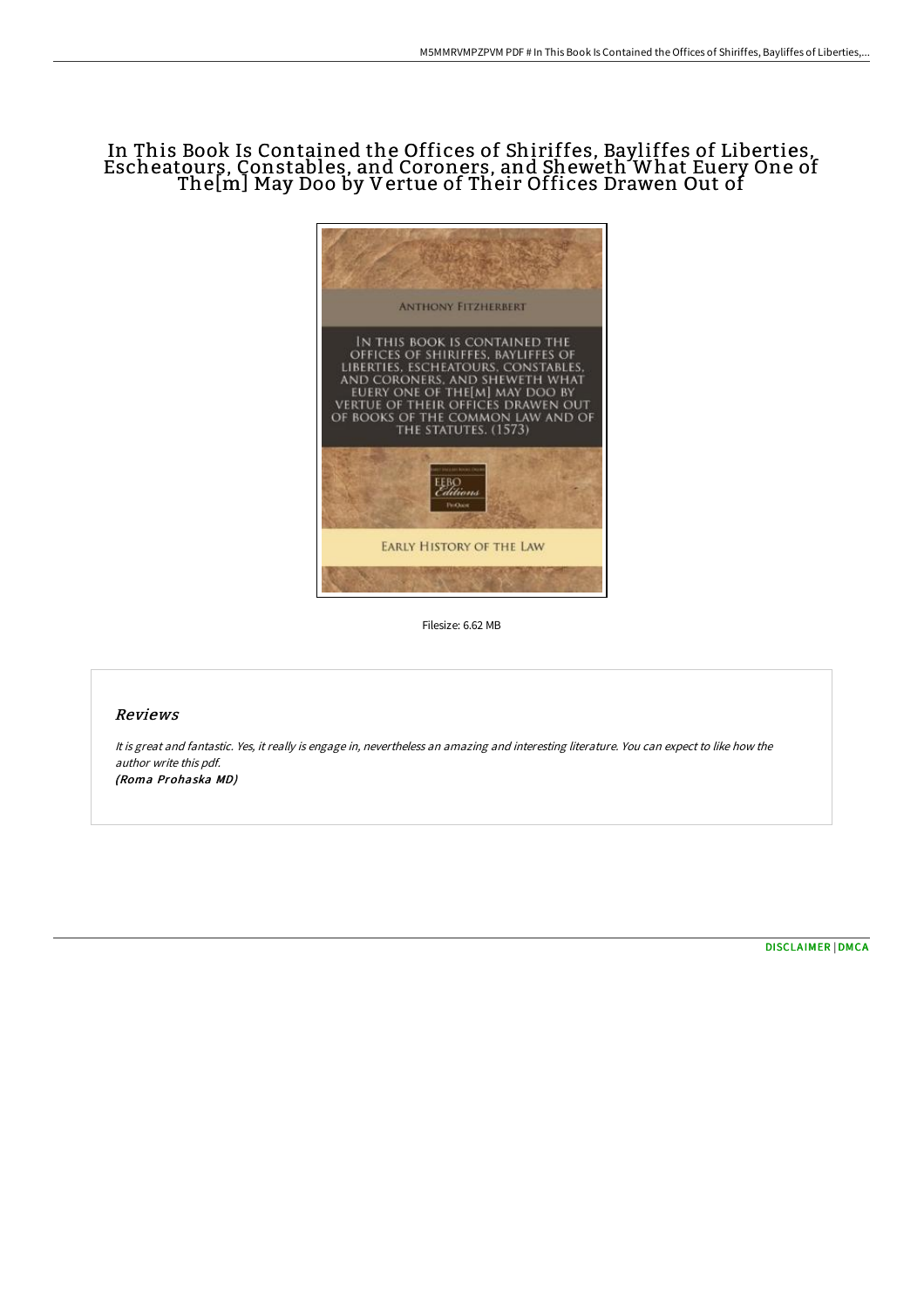# In This Book Is Contained the Offices of Shiriffes, Bayliffes of Liberties, Escheatours, Constables, and Coroners, and Sheweth What Euery One of The[m] May Doo by Vertue of Their Offices Drawen Out of



Filesize: 6.62 MB

## Reviews

It is great and fantastic. Yes, it really is engage in, nevertheless an amazing and interesting literature. You can expect to like how the author write this pdf. (Roma Prohaska MD)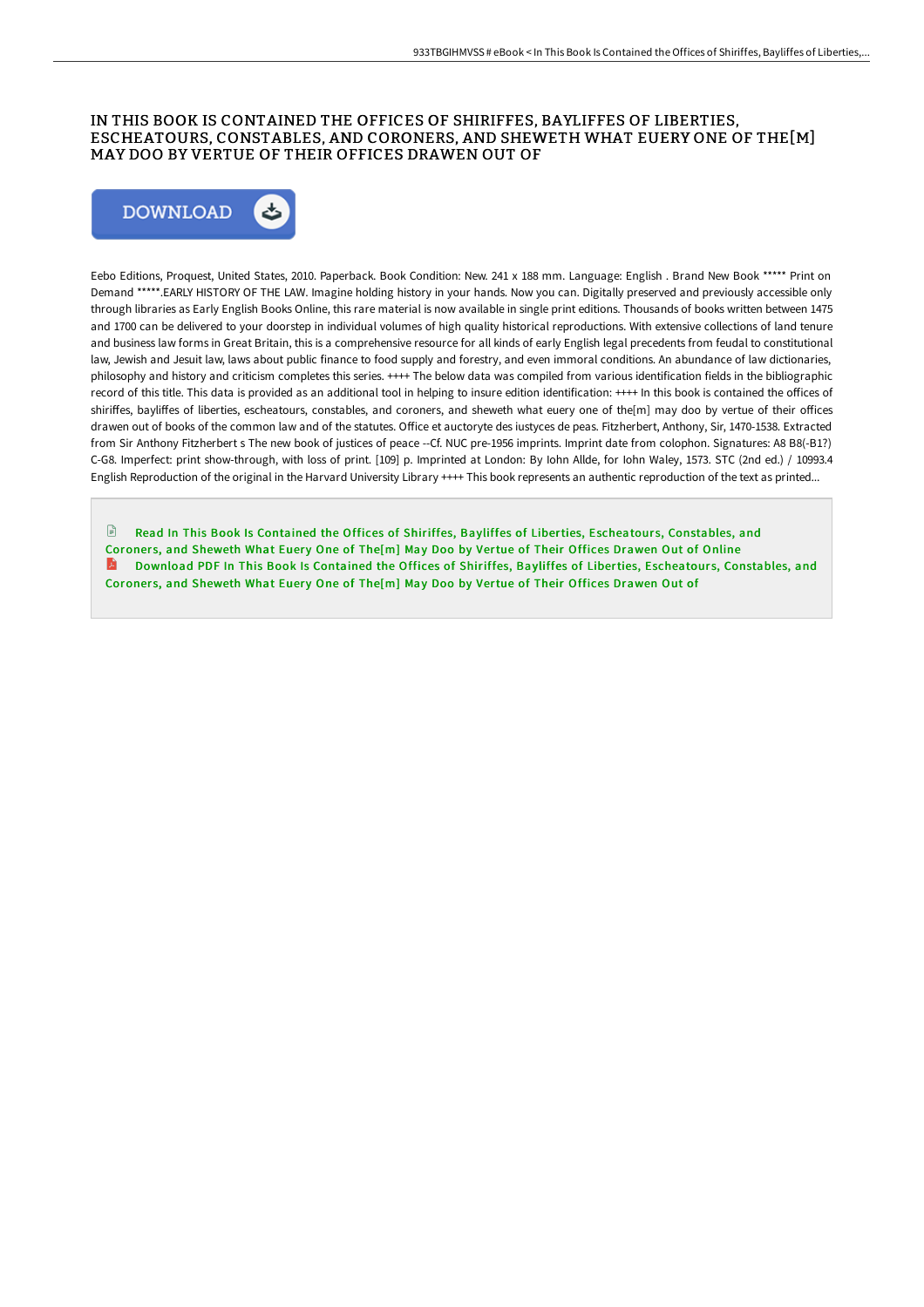### IN THIS BOOK IS CONTAINED THE OFFICES OF SHIRIFFES, BAYLIFFES OF LIBERTIES, ESCHEATOURS, CONSTABLES, AND CORONERS, AND SHEWETH WHAT EUERY ONE OF THE[M] MAY DOO BY VERTUE OF THEIR OFFICES DRAWEN OUT OF



Eebo Editions, Proquest, United States, 2010. Paperback. Book Condition: New. 241 x 188 mm. Language: English . Brand New Book \*\*\*\*\* Print on Demand \*\*\*\*\*.EARLY HISTORY OF THE LAW. Imagine holding history in your hands. Now you can. Digitally preserved and previously accessible only through libraries as Early English Books Online, this rare material is now available in single print editions. Thousands of books written between 1475 and 1700 can be delivered to your doorstep in individual volumes of high quality historical reproductions. With extensive collections of land tenure and business law forms in Great Britain, this is a comprehensive resource for all kinds of early English legal precedents from feudal to constitutional law, Jewish and Jesuit law, laws about public finance to food supply and forestry, and even immoral conditions. An abundance of law dictionaries, philosophy and history and criticism completes this series. ++++ The below data was compiled from various identification fields in the bibliographic record of this title. This data is provided as an additional tool in helping to insure edition identification: ++++ In this book is contained the oFices of shiriffes, bayliffes of liberties, escheatours, constables, and coroners, and sheweth what euery one of the[m] may doo by vertue of their offices drawen out of books of the common law and of the statutes. OFice et auctoryte des iustyces de peas. Fitzherbert, Anthony, Sir, 1470-1538. Extracted from Sir Anthony Fitzherbert s The new book of justices of peace --Cf. NUC pre-1956 imprints. Imprint date from colophon. Signatures: A8 B8(-B1?) C-G8. Imperfect: print show-through, with loss of print. [109] p. Imprinted at London: By Iohn Allde, for Iohn Waley, 1573. STC (2nd ed.) / 10993.4 English Reproduction of the original in the Harvard University Library ++++ This book represents an authentic reproduction of the text as printed...

 $\mathbb{R}$ Read In This Book Is Contained the Offices of Shiriffes, Bayliffes of Liberties, Escheatours, [Constables,](http://techno-pub.tech/in-this-book-is-contained-the-offices-of-shiriff.html) and Coroners, and Sheweth What Euery One of The[m] May Doo by Vertue of Their Offices Drawen Out of Online A Download PDF In This Book Is Contained the Offices of Shiriffes, Bayliffes of Liberties, Escheatours, [Constables,](http://techno-pub.tech/in-this-book-is-contained-the-offices-of-shiriff.html) and Coroners, and Sheweth What Euery One of The[m] May Doo by Vertue of Their Offices Drawen Out of